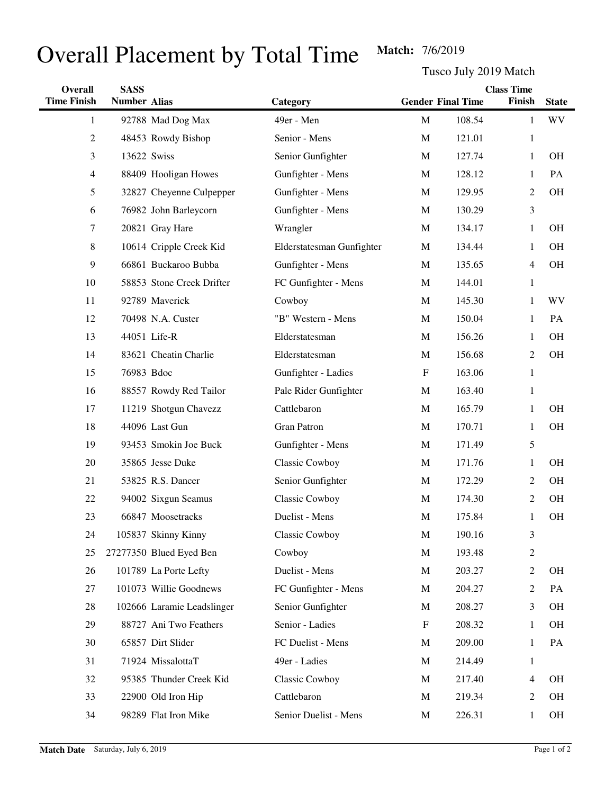## Overall Placement by Total Time Match: 7/6/2019

Tusco July 2019 Match

| Overall            | <b>SASS</b>         |                            | <b>Class Time</b>         |                           |        |                |              |
|--------------------|---------------------|----------------------------|---------------------------|---------------------------|--------|----------------|--------------|
| <b>Time Finish</b> | <b>Number Alias</b> |                            | Category                  | <b>Gender Final Time</b>  |        | Finish         | <b>State</b> |
| $\mathbf{1}$       |                     | 92788 Mad Dog Max          | 49er - Men                | M                         | 108.54 | 1              | <b>WV</b>    |
| 2                  |                     | 48453 Rowdy Bishop         | Senior - Mens             | $\mathbf M$               | 121.01 | $\mathbf{1}$   |              |
| 3                  |                     | 13622 Swiss                | Senior Gunfighter         | M                         | 127.74 | 1              | <b>OH</b>    |
| 4                  |                     | 88409 Hooligan Howes       | Gunfighter - Mens         | M                         | 128.12 | 1              | PA           |
| 5                  |                     | 32827 Cheyenne Culpepper   | Gunfighter - Mens         | M                         | 129.95 | $\overline{c}$ | OH           |
| 6                  |                     | 76982 John Barleycorn      | Gunfighter - Mens         | M                         | 130.29 | 3              |              |
| 7                  |                     | 20821 Gray Hare            | Wrangler                  | M                         | 134.17 | 1              | <b>OH</b>    |
| 8                  |                     | 10614 Cripple Creek Kid    | Elderstatesman Gunfighter | M                         | 134.44 | 1              | OH           |
| 9                  |                     | 66861 Buckaroo Bubba       | Gunfighter - Mens         | M                         | 135.65 | 4              | <b>OH</b>    |
| 10                 |                     | 58853 Stone Creek Drifter  | FC Gunfighter - Mens      | M                         | 144.01 | 1              |              |
| 11                 |                     | 92789 Maverick             | Cowboy                    | M                         | 145.30 | 1              | <b>WV</b>    |
| 12                 |                     | 70498 N.A. Custer          | "B" Western - Mens        | M                         | 150.04 | 1              | PA           |
| 13                 |                     | 44051 Life-R               | Elderstatesman            | M                         | 156.26 | 1              | <b>OH</b>    |
| 14                 |                     | 83621 Cheatin Charlie      | Elderstatesman            | M                         | 156.68 | 2              | OH           |
| 15                 | 76983 Bdoc          |                            | Gunfighter - Ladies       | $\boldsymbol{\mathrm{F}}$ | 163.06 | $\mathbf{1}$   |              |
| 16                 |                     | 88557 Rowdy Red Tailor     | Pale Rider Gunfighter     | M                         | 163.40 | 1              |              |
| 17                 |                     | 11219 Shotgun Chavezz      | Cattlebaron               | M                         | 165.79 | 1              | OH           |
| 18                 |                     | 44096 Last Gun             | Gran Patron               | M                         | 170.71 | 1              | OH           |
| 19                 |                     | 93453 Smokin Joe Buck      | Gunfighter - Mens         | M                         | 171.49 | 5              |              |
| 20                 |                     | 35865 Jesse Duke           | <b>Classic Cowboy</b>     | M                         | 171.76 | 1              | <b>OH</b>    |
| 21                 |                     | 53825 R.S. Dancer          | Senior Gunfighter         | M                         | 172.29 | 2              | OH           |
| 22                 |                     | 94002 Sixgun Seamus        | Classic Cowboy            | M                         | 174.30 | 2              | <b>OH</b>    |
| 23                 |                     | 66847 Moosetracks          | Duelist - Mens            | $\mathbf M$               | 175.84 | 1              | OH           |
| 24                 |                     | 105837 Skinny Kinny        | Classic Cowboy            | $\mathbf M$               | 190.16 | 3              |              |
| 25                 |                     | 27277350 Blued Eyed Ben    | Cowboy                    | $\mathbf M$               | 193.48 | $\overline{c}$ |              |
| 26                 |                     | 101789 La Porte Lefty      | Duelist - Mens            | M                         | 203.27 | $\overline{c}$ | OH           |
| 27                 |                     | 101073 Willie Goodnews     | FC Gunfighter - Mens      | M                         | 204.27 | 2              | PA           |
| 28                 |                     | 102666 Laramie Leadslinger | Senior Gunfighter         | M                         | 208.27 | 3              | OH           |
| 29                 |                     | 88727 Ani Two Feathers     | Senior - Ladies           | F                         | 208.32 | 1              | <b>OH</b>    |
| 30                 |                     | 65857 Dirt Slider          | FC Duelist - Mens         | M                         | 209.00 | 1              | PA           |
| 31                 |                     | 71924 MissalottaT          | 49er - Ladies             | M                         | 214.49 | 1              |              |
| 32                 |                     | 95385 Thunder Creek Kid    | Classic Cowboy            | M                         | 217.40 | 4              | OH           |
| 33                 |                     | 22900 Old Iron Hip         | Cattlebaron               | M                         | 219.34 | 2              | OH           |
| 34                 |                     | 98289 Flat Iron Mike       | Senior Duelist - Mens     | M                         | 226.31 | $\mathbf{1}$   | OH           |